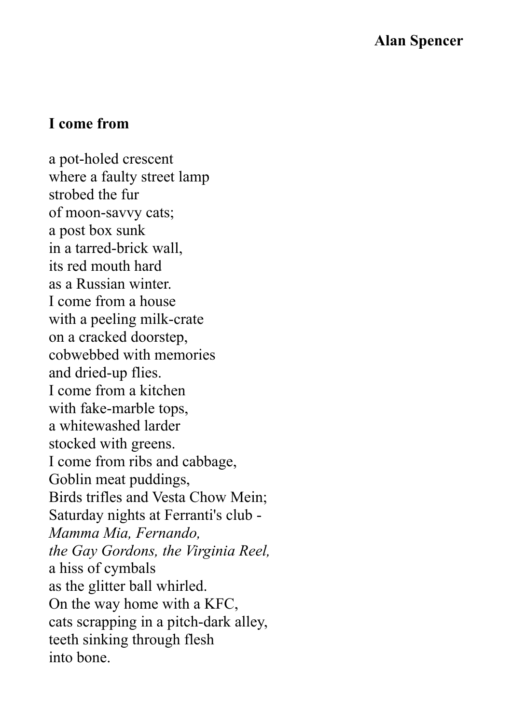## **I come from**

a pot-holed crescent where a faulty street lamp strobed the fur of moon-savvy cats; a post box sunk in a tarred-brick wall, its red mouth hard as a Russian winter. I come from a house with a peeling milk-crate on a cracked doorstep, cobwebbed with memories and dried-up flies. I come from a kitchen with fake-marble tops, a whitewashed larder stocked with greens. I come from ribs and cabbage, Goblin meat puddings, Birds trifles and Vesta Chow Mein; Saturday nights at Ferranti's club - *Mamma Mia, Fernando, the Gay Gordons, the Virginia Reel,*  a hiss of cymbals as the glitter ball whirled. On the way home with a KFC, cats scrapping in a pitch-dark alley, teeth sinking through flesh into bone.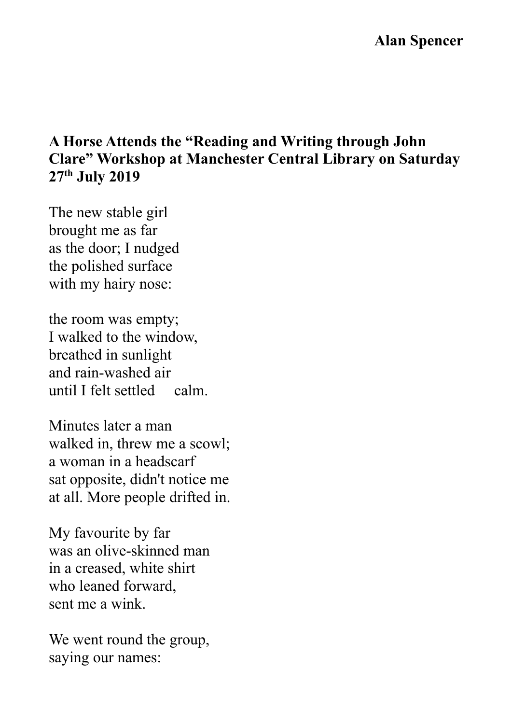# **A Horse Attends the "Reading and Writing through John Clare" Workshop at Manchester Central Library on Saturday 27th July 2019**

The new stable girl brought me as far as the door; I nudged the polished surface with my hairy nose:

the room was empty; I walked to the window, breathed in sunlight and rain-washed air until I felt settled calm.

Minutes later a man walked in, threw me a scowl; a woman in a headscarf sat opposite, didn't notice me at all. More people drifted in.

My favourite by far was an olive-skinned man in a creased, white shirt who leaned forward, sent me a wink.

We went round the group, saying our names: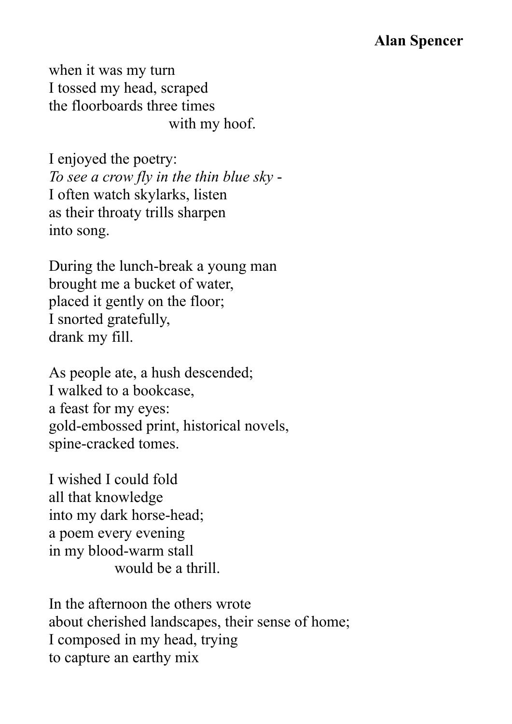when it was my turn I tossed my head, scraped the floorboards three times with my hoof.

I enjoyed the poetry: *To see a crow fly in the thin blue sky* - I often watch skylarks, listen as their throaty trills sharpen into song.

During the lunch-break a young man brought me a bucket of water, placed it gently on the floor; I snorted gratefully, drank my fill.

As people ate, a hush descended; I walked to a bookcase, a feast for my eyes: gold-embossed print, historical novels, spine-cracked tomes.

I wished I could fold all that knowledge into my dark horse-head; a poem every evening in my blood-warm stall would be a thrill.

In the afternoon the others wrote about cherished landscapes, their sense of home; I composed in my head, trying to capture an earthy mix